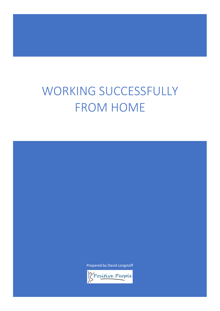# WORKING SUCCESSFULLY FROM HOME

Prepared by David Longstaff

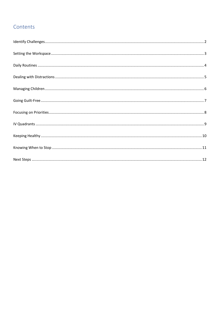#### Contents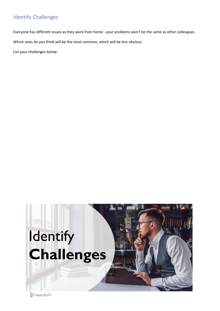#### <span id="page-2-0"></span>Identify Challenges

Everyone has different issues as they work from home - your problems won't be the same as other colleagues.

Which ones do you think will be the most common; which will be less obvious.

List your challenges below:



*<u> Spositive People</u>*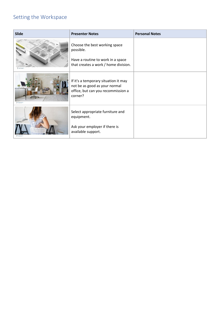#### <span id="page-3-0"></span>Setting the Workspace

| <b>Slide</b>   | <b>Presenter Notes</b>                                                                                                  | <b>Personal Notes</b> |
|----------------|-------------------------------------------------------------------------------------------------------------------------|-----------------------|
|                | Choose the best working space<br>possible.<br>Have a routine to work in a space<br>that creates a work / home division. |                       |
| Projector Proy | If it's a temporary situation it may<br>not be as good as your normal<br>office, but can you recommission a<br>corner?  |                       |
|                | Select appropriate furniture and<br>equipment.<br>Ask your employer if there is<br>available support.                   |                       |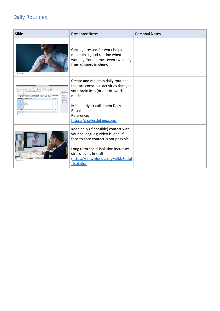## <span id="page-4-0"></span>Daily Routines

| <b>Slide</b>                                                                                                                                                                                                                                                                                                                                                                  | <b>Presenter Notes</b>                                                                                                                                                                                                                                | <b>Personal Notes</b> |
|-------------------------------------------------------------------------------------------------------------------------------------------------------------------------------------------------------------------------------------------------------------------------------------------------------------------------------------------------------------------------------|-------------------------------------------------------------------------------------------------------------------------------------------------------------------------------------------------------------------------------------------------------|-----------------------|
| <b>Transfer Form</b>                                                                                                                                                                                                                                                                                                                                                          | Getting dressed for work helps<br>maintain a good routine when<br>working from home - even switching<br>from slippers to shoes                                                                                                                        |                       |
| $x - x - y = -1$ like $x + 2 - y - 2 = 0$<br>they will child a manifestation of themselves<br>DAILY RITUALS<br>Very aroductivity coapits aromate the senath of organized billy rituals. They are similar to routines and<br><b>Kitatia</b><br>le marcado y<br>Sherarchees<br><b>Rodes</b><br><b>IACTOR</b><br>Woodny frames. Valuations are action-<br><b>Transfere</b> Perry | Create and maintain daily routines<br>that are conscious activities that get<br>your brain into (or out of) work<br>mode.<br>Michael Hyatt calls them Daily<br><b>Rituals</b><br>Reference:<br>https://charlesduhigg.com/                             |                       |
|                                                                                                                                                                                                                                                                                                                                                                               | Keep daily (if possible) contact with<br>your colleagues; video is ideal if<br>face-to-face contact is not possible.<br>Long term social isolation increases<br>stress levels in staff<br>(https://en.wikipedia.org/wiki/Social<br><i>isolation</i> ) |                       |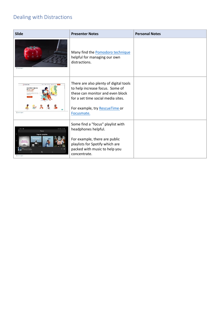# <span id="page-5-0"></span>Dealing with Distractions

| <b>Slide</b>                                                                                    | <b>Presenter Notes</b>                                                                                                                                                                              | <b>Personal Notes</b> |
|-------------------------------------------------------------------------------------------------|-----------------------------------------------------------------------------------------------------------------------------------------------------------------------------------------------------|-----------------------|
| <b>Transmitter</b>                                                                              | Many find the Pomodoro technique<br>helpful for managing our own<br>distractions.                                                                                                                   |                       |
| d Mescuellim<br>You didn't sign up<br>for 50+ hour<br>workweeks<br><b>Chrysler Harve</b>        | There are also plenty of digital tools<br>to help increase focus. Some of<br>these can monitor and even block<br>for a set time social media sites.<br>For example, try RescueTime or<br>Focusmate. |                       |
| 1250 Q ®<br>4. 5.00.1945 #<br>Focus<br>Popular playlists<br>lusic Fo<br>Q<br><b>Creston Bay</b> | Some find a "focus" playlist with<br>headphones helpful.<br>For example, there are public<br>playlists for Spotify which are<br>packed with music to help you<br>concentrate.                       |                       |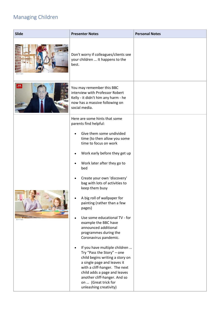# <span id="page-6-0"></span>Managing Children

| <b>Slide</b> | <b>Presenter Notes</b>                                                                                                                                                                                                                                                                                                                                                                                                                                                                                                                                                                                                                                                                                                                                                     | <b>Personal Notes</b> |
|--------------|----------------------------------------------------------------------------------------------------------------------------------------------------------------------------------------------------------------------------------------------------------------------------------------------------------------------------------------------------------------------------------------------------------------------------------------------------------------------------------------------------------------------------------------------------------------------------------------------------------------------------------------------------------------------------------------------------------------------------------------------------------------------------|-----------------------|
|              | Don't worry if colleagues/clients see<br>your children  It happens to the<br>best.                                                                                                                                                                                                                                                                                                                                                                                                                                                                                                                                                                                                                                                                                         |                       |
| BES          | You may remember this BBC<br>interview with Professor Robert<br>Kelly - it didn't him any harm - he<br>now has a massive following on<br>social media.                                                                                                                                                                                                                                                                                                                                                                                                                                                                                                                                                                                                                     |                       |
|              | Here are some hints that some<br>parents find helpful:<br>Give them some undivided<br>time (to then allow you some<br>time to focus on work<br>Work early before they get up<br>Work later after they go to<br>bed<br>Create your own 'discovery'<br>bag with lots of activities to<br>keep them busy<br>A big roll of wallpaper for<br>painting (rather than a few<br>pages)<br>Use some educational TV - for<br>example the BBC have<br>announced additional<br>programmes during the<br>Coronavirus pandemic.<br>If you have multiple children<br>Try "Pass the Story" - one<br>child begins writing a story on<br>a single page and leaves it<br>with a cliff-hanger. The next<br>child adds a page and leaves<br>another cliff-hanger. And so<br>on  (Great trick for |                       |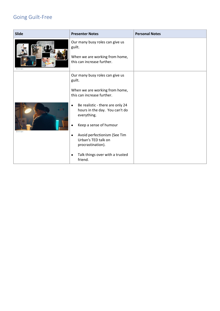## <span id="page-7-0"></span>Going Guilt-Free

| <b>Slide</b>       | <b>Presenter Notes</b>                                                                                    | <b>Personal Notes</b> |
|--------------------|-----------------------------------------------------------------------------------------------------------|-----------------------|
| President Pagels   | Our many busy roles can give us<br>guilt.<br>When we are working from home,<br>this can increase further. |                       |
|                    | Our many busy roles can give us<br>guilt.                                                                 |                       |
|                    | When we are working from home,<br>this can increase further.                                              |                       |
|                    | Be realistic - there are only 24<br>$\bullet$<br>hours in the day. You can't do<br>everything.            |                       |
| <b>Cheston Ker</b> | Keep a sense of humour                                                                                    |                       |
|                    | Avoid perfectionism (See Tim<br>$\bullet$<br>Urban's TED talk on<br>procrastination).                     |                       |
|                    | Talk things over with a trusted<br>$\bullet$<br>friend.                                                   |                       |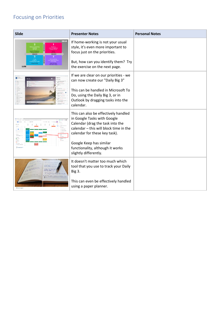# <span id="page-8-0"></span>Focusing on Priorities

| <b>Slide</b>                | <b>Presenter Notes</b>                                                                                                                                                             | <b>Personal Notes</b> |
|-----------------------------|------------------------------------------------------------------------------------------------------------------------------------------------------------------------------------|-----------------------|
| HIGH<br><b>RGENC</b><br>LOW | If home-working is not your usual<br>style, it's even more important to<br>focus just on the priorities.<br>But, how can you identify them? Try                                    |                       |
|                             | the exercise on the next page.                                                                                                                                                     |                       |
|                             | If we are clear on our priorities - we<br>can now create our "Daily Big 3"                                                                                                         |                       |
|                             | This can be handled in Microsoft To<br>Do, using the Daily Big 3, or in<br>Outlook by dragging tasks into the<br>calendar.                                                         |                       |
|                             | This can also be effectively handled<br>in Google Tasks with Google<br>Calendar (drag the task into the<br>calendar - this will block time in the<br>calendar for these key task). |                       |
|                             | Google Keep has similar<br>functionality, although it works<br>slightly differently.                                                                                               |                       |
| 1. 113111 1.1111            | It doesn't matter too much which<br>tool that you use to track your Daily<br><b>Big 3.</b>                                                                                         |                       |
|                             | This can even be effectively handled<br>using a paper planner.                                                                                                                     |                       |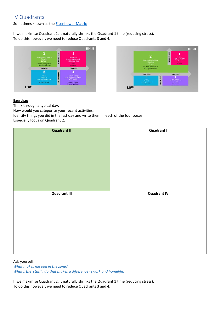#### <span id="page-9-0"></span>IV Quadrants

Sometimes known as th[e Eisenhower Matrix](http://www.eisenhower.me/eisenhower-matrix/)

If we maximise Quadrant 2, it naturally shrinks the Quadrant 1 time (reducing stress). To do this however, we need to reduce Quadrants 3 and 4.





#### **Exercise:**

Think through a typical day.

How would you categorise your recent activities.

Identify things you did in the last day and write them in each of the four boxes Especially focus on Quadrant 2.

| <b>Quadrant II</b>  | <b>Quadrant I</b>  |
|---------------------|--------------------|
| <b>Quadrant III</b> | <b>Quadrant IV</b> |

Ask yourself:

*What makes me feel in the zone? What's the 'stuff' I do that makes a difference? (work and homelife)*

If we maximise Quadrant 2, it naturally shrinks the Quadrant 1 time (reducing stress). To do this however, we need to reduce Quadrants 3 and 4.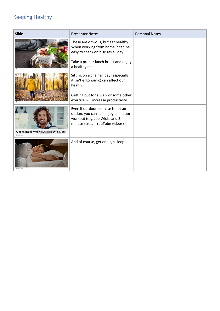## <span id="page-10-0"></span>Keeping Healthy

| <b>Slide</b>                                                    | <b>Presenter Notes</b>                                                                                                                                                     | <b>Personal Notes</b> |
|-----------------------------------------------------------------|----------------------------------------------------------------------------------------------------------------------------------------------------------------------------|-----------------------|
|                                                                 | These are obvious, but eat healthy.<br>When working from home it can be<br>easy to snack on biscuits all day.<br>Take a proper lunch break and enjoy<br>a healthy meal.    |                       |
|                                                                 | Sitting on a chair all day (especially if<br>it isn't ergonomic) can affect our<br>health.<br>Getting out for a walk or some other<br>exercise will increase productivity. |                       |
| <b>Online Indoor Workouts (Joe Wicks, etc.)</b><br>Prince Pioni | Even if outdoor exercise is not an<br>option, you can still enjoy an indoor<br>workout (e.g. Joe Wicks and 5-<br>minute stretch YouTube videos)                            |                       |
|                                                                 | And of course, get enough sleep.                                                                                                                                           |                       |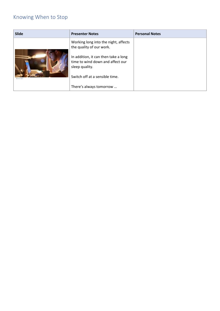### <span id="page-11-0"></span>Knowing When to Stop

| <b>Slide</b> | <b>Presenter Notes</b>                                                                     | <b>Personal Notes</b> |
|--------------|--------------------------------------------------------------------------------------------|-----------------------|
|              | Working long into the night, affects<br>the quality of our work.                           |                       |
|              | In addition, it can then take a long<br>time to wind down and affect our<br>sleep quality. |                       |
| Pendor Repúb | Switch off at a sensible time.                                                             |                       |
|              | There's always tomorrow                                                                    |                       |